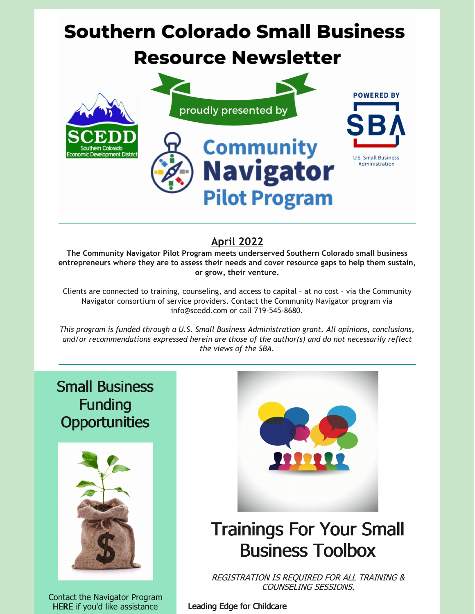# **Southern Colorado Small Business**

## **Resource Newsletter**



## **April 2022**

**The Community Navigator Pilot Program meets underserved Southern Colorado small business entrepreneurs where they are to assess their needs and cover resource gaps to help them sustain, or grow, their venture.**

Clients are connected to training, counseling, and access to capital – at no cost – via the Community Navigator consortium of service providers. Contact the Community Navigator program via info@scedd.com or call 719-545-8680.

*This program is funded through a U.S. Small Business Administration grant. All opinions, conclusions, and/or recommendations expressed herein are those of the author(s) and do not necessarily reflect the views of the SBA.*

Small Business Funding **Opportunities** 



Contact the Navigator Program [HERE](https://bit.ly/2022-Navigator-Client-Intake-Form) if you'd like assistance



## Trainings For Your Small Business Toolbox

REGISTRATION IS REQUIRED FOR ALL TRAINING & COUNSELING SESSIONS.

Leading Edge for Childcare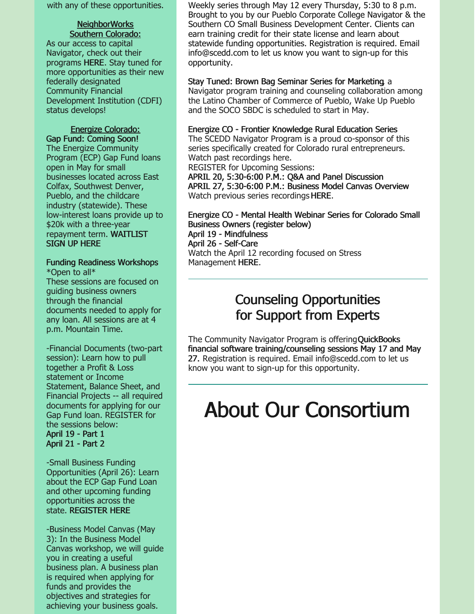with any of these opportunities.

## NeighborWorks Southern Colorado:

As our access to capital Navigator, check out their programs [HERE](https://nwsoco.org/what-we-do/community-lending/business-loans.html). Stay tuned for more opportunities as their new federally designated Community Financial Development Institution (CDFI) status develops!

## Energize Colorado:

Gap Fund: Coming Soon! The Energize Community Program (ECP) Gap Fund loans open in May for small businesses located across East Colfax, Southwest Denver, Pueblo, and the childcare industry (statewide). These low-interest loans provide up to \$20k with a three-year [repayment](https://www.startupspace.app/dynamic-survey/MTU2NA==?utm_source=website&utm_medium=partners&utm_campaign=reg_form#googtrans(en)) term. WAITLIST SIGN UP HERE

Funding Readiness Workshops \*Open to all\*

These sessions are focused on guiding business owners through the financial documents needed to apply for any loan. All sessions are at 4 p.m. Mountain Time.

-Financial Documents (two-part session): Learn how to pull together a Profit & Loss statement or Income Statement, Balance Sheet, and Financial Projects -- all required documents for applying for our Gap Fund loan. REGISTER for the sessions below:

[April](https://startupspace.app/detail-normal-events/30803?b_link=event_type%3Dupcoming%26search_group%3D253#googtrans(en)) 19 - Part 1 [April](https://startupspace.app/detail-normal-events/30804?b_link=event_type%3Dupcoming%26search_group%3D253#googtrans(en)) 21 - Part 2

-Small Business Funding Opportunities (April 26): Learn about the ECP Gap Fund Loan and other upcoming funding opportunities across the state. [REGISTER](https://energizecolorado.us18.list-manage.com/track/click?u=51a7a57ae59fada8d077da1d1&id=942384a662&e=596b45d738) HERE

-Business Model Canvas (May 3): In the Business Model Canvas workshop, we will guide you in creating a useful business plan. A business plan is required when applying for funds and provides the objectives and strategies for achieving your business goals.

Weekly series through May 12 every Thursday, 5:30 to 8 p.m. Brought to you by our Pueblo Corporate College Navigator & the Southern CO Small Business Development Center. Clients can earn training credit for their state license and learn about statewide funding opportunities. Registration is required. Email info@scedd.com to let us know you want to sign-up for this opportunity.

## Stay Tuned: Brown Bag Seminar Series for Marketing, a Navigator program training and counseling collaboration among

the Latino Chamber of Commerce of Pueblo, Wake Up Pueblo and the SOCO SBDC is scheduled to start in May.

### Energize CO - Frontier Knowledge Rural Education Series

The SCEDD Navigator Program is a proud co-sponsor of this series specifically created for Colorado rural entrepreneurs. Watch past recordings here.

REGISTER for Upcoming Sessions:

APRIL 20, 5:30-6:00 P.M.: Q&A and Panel [Discussion](https://www.startupspace.app/detail-normal-events/29591?b_link=event_type%3Dupcoming%26search_group%3D253#googtrans(en)) APRIL 27, [5:30-6:00](https://www.startupspace.app/detail-normal-events/29592?b_link=event_type%3Dupcoming%26search_group%3D253#googtrans(en)) P.M.: Business Model Canvas Overview Watch previous series recordings [HERE](https://energizecolorado.com/rural-owned-businesses/).

### Energize CO - Mental Health Webinar Series for Colorado Small Business Owners (register below)

April 19 - [Mindfulness](https://startupspace.app/detail-normal-events/29760?b_link=event_type%3Dupcoming%26page%3D1%26search_group%3D253) April 26 - [Self-Care](https://startupspace.app/detail-normal-events/29596?b_link=event_type%3Dupcoming%26page%3D1%26search_group%3D253) Watch the April 12 recording focused on Stress Management [HERE](https://www.youtube.com/watch?v=LUm6ao00zRo).

## Counseling Opportunities for Support from Experts

The Community Navigator Program is offering QuickBooks financial software training/counseling sessions May 17 and May 27. Registration is required. Email info@scedd.com to let us know you want to sign-up for this opportunity.

# About Our Consortium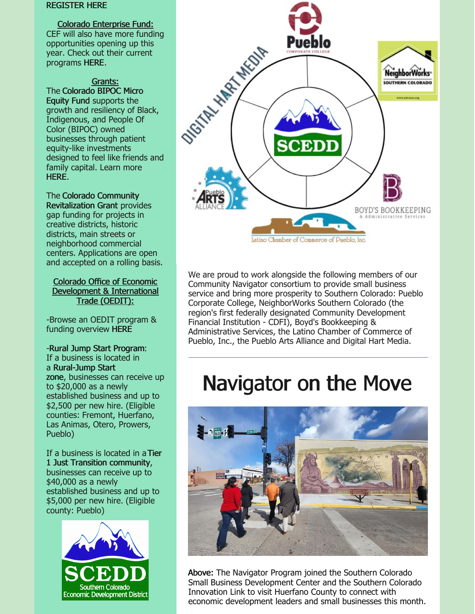#### [REGISTER](https://startupspace.app/detail-normal-events/30807?b_link=event_type%3Dupcoming%26page%3D2%26search_group%3D253#googtrans(en)) HERE

#### Colorado Enterprise Fund:

CEF will also have more funding opportunities opening up this year. Check out their current programs [HERE](https://coloradoenterprisefund.org/Loans).

Grants: The Colorado BIPOC Micro Equity Fund supports the growth and resiliency of Black, Indigenous, and People Of Color (BIPOC) owned businesses through patient equity-like investments designed to feel like friends and family capital. Learn more [HERE](https://www.liscstrategicinvestments.org/co-bipoc-micro-equity-fund).

The Colorado Community [Revitalization](https://oedit.colorado.gov/colorado-community-revitalization-grant) Grant provides gap funding for projects in creative districts, historic districts, main streets or neighborhood commercial centers. Applications are open and accepted on a rolling basis.

#### Colorado Office of Economic Development & International Trade (OEDIT):

-Browse an OEDIT program & funding overview [HERE](https://oedit.colorado.gov/programs-and-funding?Programs%5B0%5D=i_am_looking_for_%3Afinancial support)

## -Rural Jump Start Program:

If a business is located in a [Rural-Jump](https://oedit.colorado.gov/rural-jump-start-grant-and-tax-credit#rjscounties) Start zone, businesses can receive up to \$20,000 as a newly established business and up to \$2,500 per new hire. (Eligible counties: Fremont, Huerfano, Las Animas, Otero, Prowers, Pueblo)

If a business is located in a Tier 1 Just Transition [community,](https://oedit.colorado.gov/rural-jump-start-grant-and-tax-credit#justtransitioncounties) businesses can receive up to \$40,000 as a newly established business and up to \$5,000 per new hire. (Eligible county: Pueblo)





We are proud to work alongside the following members of our Community Navigator consortium to provide small business service and bring more prosperity to Southern Colorado: Pueblo Corporate College, NeighborWorks Southern Colorado (the region's first federally designated Community Development Financial Institution - CDFI), Boyd's Bookkeeping & Administrative Services, the Latino Chamber of Commerce of Pueblo, Inc., the Pueblo Arts Alliance and Digital Hart Media.

## Navigator on the Move



Above: The Navigator Program joined the Southern Colorado Small Business Development Center and the Southern Colorado Innovation Link to visit Huerfano County to connect with economic development leaders and small businesses this month.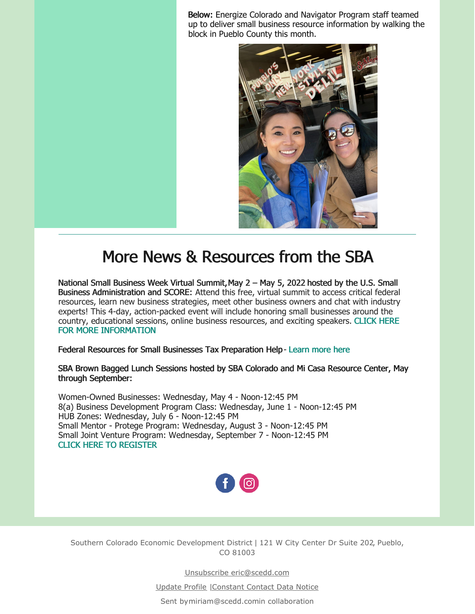Below: Energize Colorado and Navigator Program staff teamed up to deliver small business resource information by walking the block in Pueblo County this month.



## More News & Resources from the SBA

National Small Business Week Virtual Summit,May 2 – May 5, 2022 hosted by the U.S. Small Business Administration and SCORE: Attend this free, virtual summit to access critical federal resources, learn new business strategies, meet other business owners and chat with industry experts! This 4-day, action-packed event will include honoring small businesses around the country, educational sessions, online business resources, and exciting speakers. CLICK HERE FOR MORE [INFORMATION](https://onlinexperiences.com/scripts/Server.nxp?LASCmd=AI:4;F:QS!10100&ShowUUID=D3562669-A93F-42F9-A310-0AB7975259F8)

Federal Resources for Small Businesses Tax Preparation Help- [Learn](https://www.covid-sb.org/resource/tax-credit-filing) more here

### SBA Brown Bagged Lunch Sessions hosted by SBA Colorado and Mi Casa Resource Center, May through September:

Women-Owned Businesses: Wednesday, May 4 - Noon-12:45 PM 8(a) Business Development Program Class: Wednesday, June 1 - Noon-12:45 PM HUB Zones: Wednesday, July 6 - Noon-12:45 PM Small Mentor - Protege Program: Wednesday, August 3 - Noon-12:45 PM Small Joint Venture Program: Wednesday, September 7 - Noon-12:45 PM CLICK HERE TO [REGISTER](https://www.tfaforms.com/4795277?tfa_6049=tfa_6069&tfa_6072=SBA&utm_medium=email&utm_source=govdelivery)



Southern Colorado Economic Development District | 121 W City Center Dr Suite 202, Pueblo, CO 81003

Unsubscribe eric@scedd.com

Update Profile [|Constant](http://www.constantcontact.com/legal/about-constant-contact) Contact Data Notice

Sent b[ymiriam@scedd.com](mailto:miriam@scedd.com)in collaboration